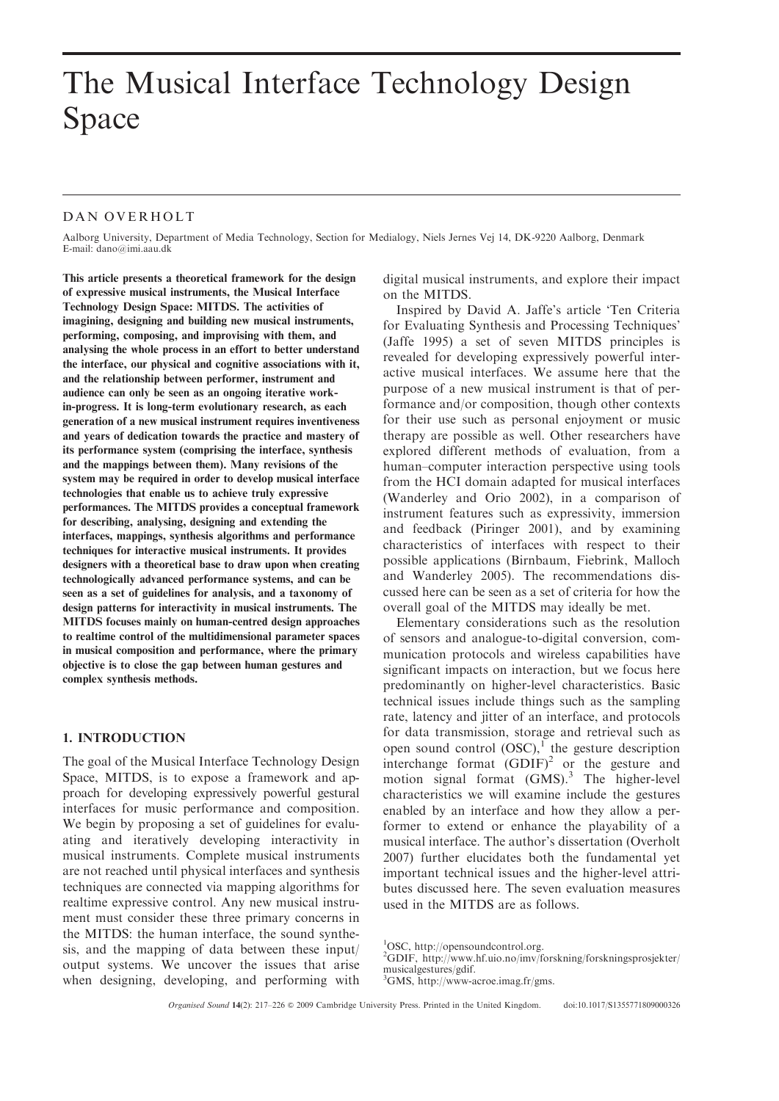# The Musical Interface Technology Design Space

# DAN OVERHOLT

Aalborg University, Department of Media Technology, Section for Medialogy, Niels Jernes Vej 14, DK-9220 Aalborg, Denmark E-mail: dano@imi.aau.dk

This article presents a theoretical framework for the design of expressive musical instruments, the Musical Interface Technology Design Space: MITDS. The activities of imagining, designing and building new musical instruments, performing, composing, and improvising with them, and analysing the whole process in an effort to better understand the interface, our physical and cognitive associations with it, and the relationship between performer, instrument and audience can only be seen as an ongoing iterative workin-progress. It is long-term evolutionary research, as each generation of a new musical instrument requires inventiveness and years of dedication towards the practice and mastery of its performance system (comprising the interface, synthesis and the mappings between them). Many revisions of the system may be required in order to develop musical interface technologies that enable us to achieve truly expressive performances. The MITDS provides a conceptual framework for describing, analysing, designing and extending the interfaces, mappings, synthesis algorithms and performance techniques for interactive musical instruments. It provides designers with a theoretical base to draw upon when creating technologically advanced performance systems, and can be seen as a set of guidelines for analysis, and a taxonomy of design patterns for interactivity in musical instruments. The MITDS focuses mainly on human-centred design approaches to realtime control of the multidimensional parameter spaces in musical composition and performance, where the primary objective is to close the gap between human gestures and complex synthesis methods.

## 1. INTRODUCTION

The goal of the Musical Interface Technology Design Space, MITDS, is to expose a framework and approach for developing expressively powerful gestural interfaces for music performance and composition. We begin by proposing a set of guidelines for evaluating and iteratively developing interactivity in musical instruments. Complete musical instruments are not reached until physical interfaces and synthesis techniques are connected via mapping algorithms for realtime expressive control. Any new musical instrument must consider these three primary concerns in the MITDS: the human interface, the sound synthesis, and the mapping of data between these input/ output systems. We uncover the issues that arise when designing, developing, and performing with digital musical instruments, and explore their impact on the MITDS.

Inspired by David A. Jaffe's article 'Ten Criteria for Evaluating Synthesis and Processing Techniques' (Jaffe 1995) a set of seven MITDS principles is revealed for developing expressively powerful interactive musical interfaces. We assume here that the purpose of a new musical instrument is that of performance and/or composition, though other contexts for their use such as personal enjoyment or music therapy are possible as well. Other researchers have explored different methods of evaluation, from a human–computer interaction perspective using tools from the HCI domain adapted for musical interfaces (Wanderley and Orio 2002), in a comparison of instrument features such as expressivity, immersion and feedback (Piringer 2001), and by examining characteristics of interfaces with respect to their possible applications (Birnbaum, Fiebrink, Malloch and Wanderley 2005). The recommendations discussed here can be seen as a set of criteria for how the overall goal of the MITDS may ideally be met.

Elementary considerations such as the resolution of sensors and analogue-to-digital conversion, communication protocols and wireless capabilities have significant impacts on interaction, but we focus here predominantly on higher-level characteristics. Basic technical issues include things such as the sampling rate, latency and jitter of an interface, and protocols for data transmission, storage and retrieval such as open sound control  $(OSC)$ ,<sup>1</sup> the gesture description interchange format  $(G\text{DIF})^2$  or the gesture and motion signal format (GMS).<sup>3</sup> The higher-level characteristics we will examine include the gestures enabled by an interface and how they allow a performer to extend or enhance the playability of a musical interface. The author's dissertation (Overholt 2007) further elucidates both the fundamental yet important technical issues and the higher-level attributes discussed here. The seven evaluation measures used in the MITDS are as follows.

<sup>1</sup> OSC, http://opensoundcontrol.org.

 ${}^{2}$ GDIF, http://www.hf.uio.no/imv/forskning/forskningsprosjekter/ musicalgestures/gdif.

<sup>3</sup> GMS, http://www-acroe.imag.fr/gms.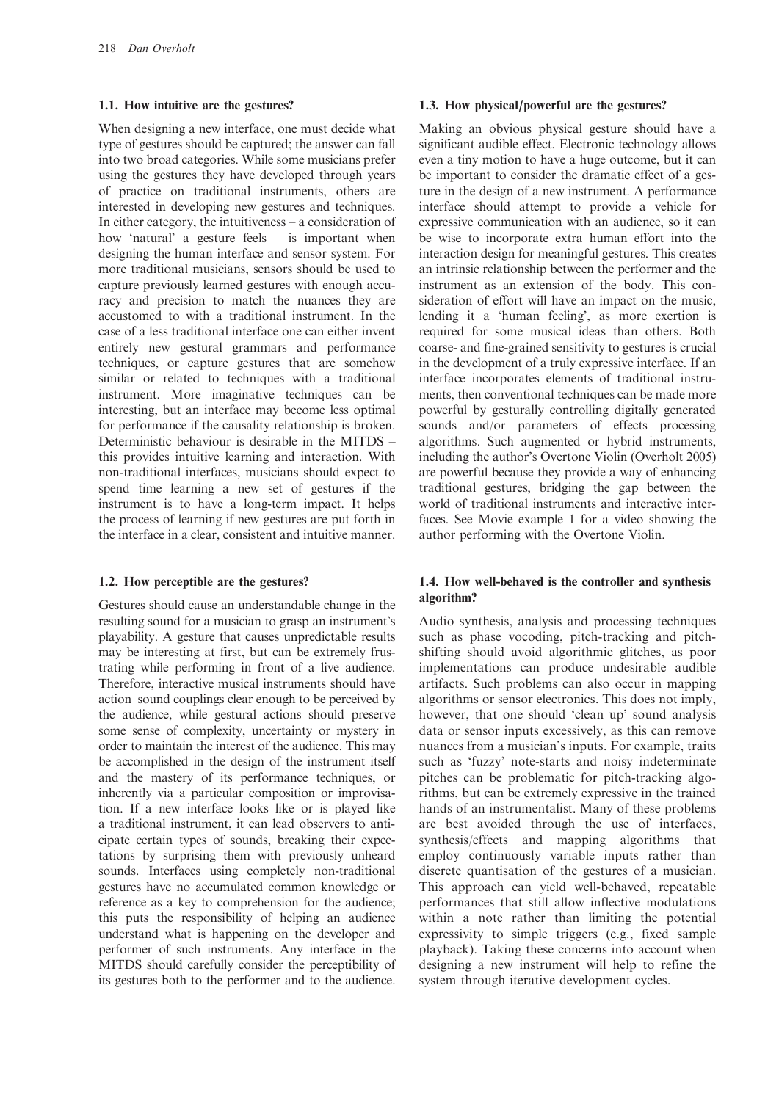#### 1.1. How intuitive are the gestures?

When designing a new interface, one must decide what type of gestures should be captured; the answer can fall into two broad categories. While some musicians prefer using the gestures they have developed through years of practice on traditional instruments, others are interested in developing new gestures and techniques. In either category, the intuitiveness – a consideration of how 'natural' a gesture feels – is important when designing the human interface and sensor system. For more traditional musicians, sensors should be used to capture previously learned gestures with enough accuracy and precision to match the nuances they are accustomed to with a traditional instrument. In the case of a less traditional interface one can either invent entirely new gestural grammars and performance techniques, or capture gestures that are somehow similar or related to techniques with a traditional instrument. More imaginative techniques can be interesting, but an interface may become less optimal for performance if the causality relationship is broken. Deterministic behaviour is desirable in the MITDS – this provides intuitive learning and interaction. With non-traditional interfaces, musicians should expect to spend time learning a new set of gestures if the instrument is to have a long-term impact. It helps the process of learning if new gestures are put forth in the interface in a clear, consistent and intuitive manner.

#### 1.2. How perceptible are the gestures?

Gestures should cause an understandable change in the resulting sound for a musician to grasp an instrument's playability. A gesture that causes unpredictable results may be interesting at first, but can be extremely frustrating while performing in front of a live audience. Therefore, interactive musical instruments should have action–sound couplings clear enough to be perceived by the audience, while gestural actions should preserve some sense of complexity, uncertainty or mystery in order to maintain the interest of the audience. This may be accomplished in the design of the instrument itself and the mastery of its performance techniques, or inherently via a particular composition or improvisation. If a new interface looks like or is played like a traditional instrument, it can lead observers to anticipate certain types of sounds, breaking their expectations by surprising them with previously unheard sounds. Interfaces using completely non-traditional gestures have no accumulated common knowledge or reference as a key to comprehension for the audience; this puts the responsibility of helping an audience understand what is happening on the developer and performer of such instruments. Any interface in the MITDS should carefully consider the perceptibility of its gestures both to the performer and to the audience.

#### 1.3. How physical/powerful are the gestures?

Making an obvious physical gesture should have a significant audible effect. Electronic technology allows even a tiny motion to have a huge outcome, but it can be important to consider the dramatic effect of a gesture in the design of a new instrument. A performance interface should attempt to provide a vehicle for expressive communication with an audience, so it can be wise to incorporate extra human effort into the interaction design for meaningful gestures. This creates an intrinsic relationship between the performer and the instrument as an extension of the body. This consideration of effort will have an impact on the music, lending it a 'human feeling', as more exertion is required for some musical ideas than others. Both coarse- and fine-grained sensitivity to gestures is crucial in the development of a truly expressive interface. If an interface incorporates elements of traditional instruments, then conventional techniques can be made more powerful by gesturally controlling digitally generated sounds and/or parameters of effects processing algorithms. Such augmented or hybrid instruments, including the author's Overtone Violin (Overholt 2005) are powerful because they provide a way of enhancing traditional gestures, bridging the gap between the world of traditional instruments and interactive interfaces. See Movie example 1 for a video showing the author performing with the Overtone Violin.

#### 1.4. How well-behaved is the controller and synthesis algorithm?

Audio synthesis, analysis and processing techniques such as phase vocoding, pitch-tracking and pitchshifting should avoid algorithmic glitches, as poor implementations can produce undesirable audible artifacts. Such problems can also occur in mapping algorithms or sensor electronics. This does not imply, however, that one should 'clean up' sound analysis data or sensor inputs excessively, as this can remove nuances from a musician's inputs. For example, traits such as 'fuzzy' note-starts and noisy indeterminate pitches can be problematic for pitch-tracking algorithms, but can be extremely expressive in the trained hands of an instrumentalist. Many of these problems are best avoided through the use of interfaces, synthesis/effects and mapping algorithms that employ continuously variable inputs rather than discrete quantisation of the gestures of a musician. This approach can yield well-behaved, repeatable performances that still allow inflective modulations within a note rather than limiting the potential expressivity to simple triggers (e.g., fixed sample playback). Taking these concerns into account when designing a new instrument will help to refine the system through iterative development cycles.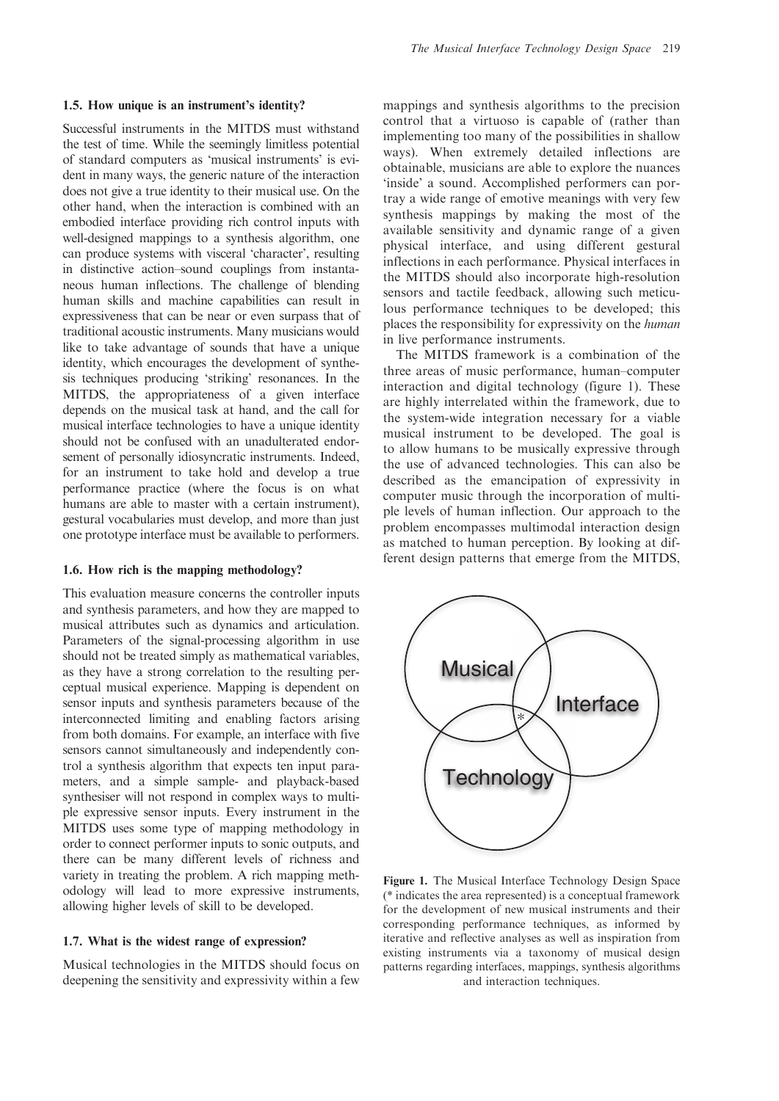#### 1.5. How unique is an instrument's identity?

Successful instruments in the MITDS must withstand the test of time. While the seemingly limitless potential of standard computers as 'musical instruments' is evident in many ways, the generic nature of the interaction does not give a true identity to their musical use. On the other hand, when the interaction is combined with an embodied interface providing rich control inputs with well-designed mappings to a synthesis algorithm, one can produce systems with visceral 'character', resulting in distinctive action–sound couplings from instantaneous human inflections. The challenge of blending human skills and machine capabilities can result in expressiveness that can be near or even surpass that of traditional acoustic instruments. Many musicians would like to take advantage of sounds that have a unique identity, which encourages the development of synthesis techniques producing 'striking' resonances. In the MITDS, the appropriateness of a given interface depends on the musical task at hand, and the call for musical interface technologies to have a unique identity should not be confused with an unadulterated endorsement of personally idiosyncratic instruments. Indeed, for an instrument to take hold and develop a true performance practice (where the focus is on what humans are able to master with a certain instrument), gestural vocabularies must develop, and more than just one prototype interface must be available to performers.

### 1.6. How rich is the mapping methodology?

This evaluation measure concerns the controller inputs and synthesis parameters, and how they are mapped to musical attributes such as dynamics and articulation. Parameters of the signal-processing algorithm in use should not be treated simply as mathematical variables, as they have a strong correlation to the resulting perceptual musical experience. Mapping is dependent on sensor inputs and synthesis parameters because of the interconnected limiting and enabling factors arising from both domains. For example, an interface with five sensors cannot simultaneously and independently control a synthesis algorithm that expects ten input parameters, and a simple sample- and playback-based synthesiser will not respond in complex ways to multiple expressive sensor inputs. Every instrument in the MITDS uses some type of mapping methodology in order to connect performer inputs to sonic outputs, and there can be many different levels of richness and variety in treating the problem. A rich mapping methodology will lead to more expressive instruments, allowing higher levels of skill to be developed.

#### 1.7. What is the widest range of expression?

Musical technologies in the MITDS should focus on deepening the sensitivity and expressivity within a few

mappings and synthesis algorithms to the precision control that a virtuoso is capable of (rather than implementing too many of the possibilities in shallow ways). When extremely detailed inflections are obtainable, musicians are able to explore the nuances 'inside' a sound. Accomplished performers can portray a wide range of emotive meanings with very few synthesis mappings by making the most of the available sensitivity and dynamic range of a given physical interface, and using different gestural inflections in each performance. Physical interfaces in the MITDS should also incorporate high-resolution sensors and tactile feedback, allowing such meticulous performance techniques to be developed; this places the responsibility for expressivity on the human in live performance instruments.

The MITDS framework is a combination of the three areas of music performance, human–computer interaction and digital technology (figure 1). These are highly interrelated within the framework, due to the system-wide integration necessary for a viable musical instrument to be developed. The goal is to allow humans to be musically expressive through the use of advanced technologies. This can also be described as the emancipation of expressivity in computer music through the incorporation of multiple levels of human inflection. Our approach to the problem encompasses multimodal interaction design as matched to human perception. By looking at different design patterns that emerge from the MITDS,



Figure 1. The Musical Interface Technology Design Space (\* indicates the area represented) is a conceptual framework for the development of new musical instruments and their corresponding performance techniques, as informed by iterative and reflective analyses as well as inspiration from existing instruments via a taxonomy of musical design patterns regarding interfaces, mappings, synthesis algorithms and interaction techniques.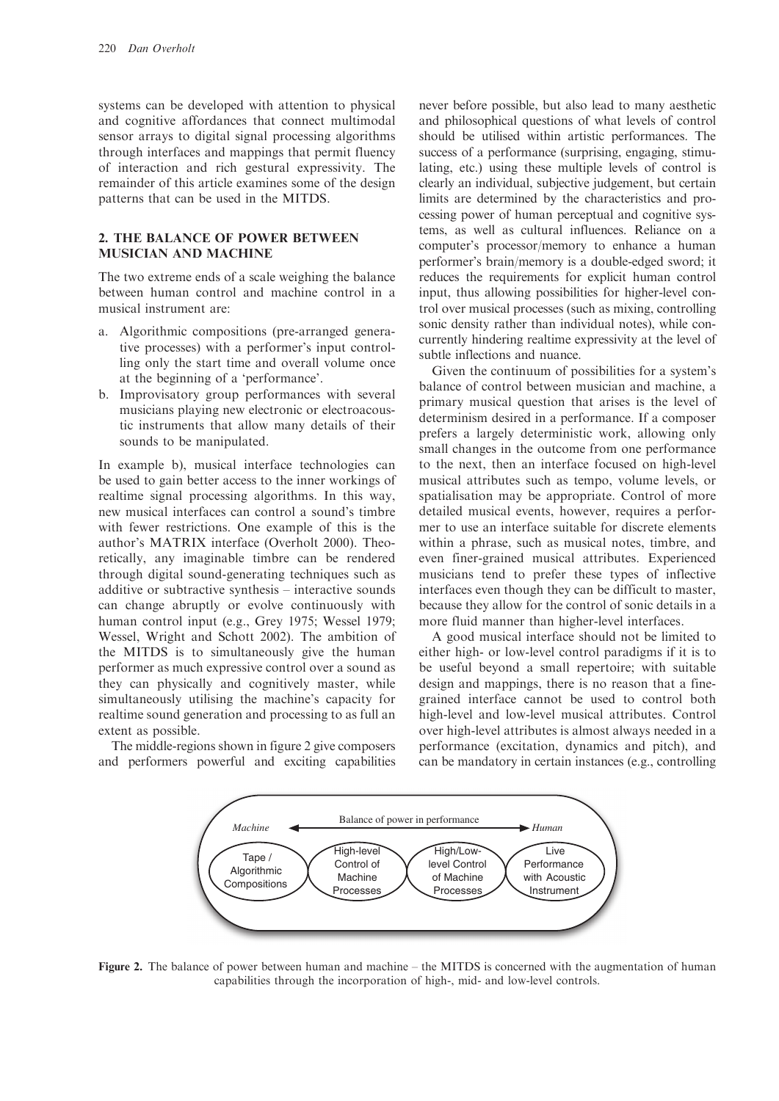systems can be developed with attention to physical and cognitive affordances that connect multimodal sensor arrays to digital signal processing algorithms through interfaces and mappings that permit fluency of interaction and rich gestural expressivity. The remainder of this article examines some of the design patterns that can be used in the MITDS.

## 2. THE BALANCE OF POWER BETWEEN MUSICIAN AND MACHINE

The two extreme ends of a scale weighing the balance between human control and machine control in a musical instrument are:

- a. Algorithmic compositions (pre-arranged generative processes) with a performer's input controlling only the start time and overall volume once at the beginning of a 'performance'.
- b. Improvisatory group performances with several musicians playing new electronic or electroacoustic instruments that allow many details of their sounds to be manipulated.

In example b), musical interface technologies can be used to gain better access to the inner workings of realtime signal processing algorithms. In this way, new musical interfaces can control a sound's timbre with fewer restrictions. One example of this is the author's MATRIX interface (Overholt 2000). Theoretically, any imaginable timbre can be rendered through digital sound-generating techniques such as additive or subtractive synthesis – interactive sounds can change abruptly or evolve continuously with human control input (e.g., Grey 1975; Wessel 1979; Wessel, Wright and Schott 2002). The ambition of the MITDS is to simultaneously give the human performer as much expressive control over a sound as they can physically and cognitively master, while simultaneously utilising the machine's capacity for realtime sound generation and processing to as full an extent as possible.

The middle-regions shown in figure 2 give composers and performers powerful and exciting capabilities never before possible, but also lead to many aesthetic and philosophical questions of what levels of control should be utilised within artistic performances. The success of a performance (surprising, engaging, stimulating, etc.) using these multiple levels of control is clearly an individual, subjective judgement, but certain limits are determined by the characteristics and processing power of human perceptual and cognitive systems, as well as cultural influences. Reliance on a computer's processor/memory to enhance a human performer's brain/memory is a double-edged sword; it reduces the requirements for explicit human control input, thus allowing possibilities for higher-level control over musical processes (such as mixing, controlling sonic density rather than individual notes), while concurrently hindering realtime expressivity at the level of subtle inflections and nuance.

Given the continuum of possibilities for a system's balance of control between musician and machine, a primary musical question that arises is the level of determinism desired in a performance. If a composer prefers a largely deterministic work, allowing only small changes in the outcome from one performance to the next, then an interface focused on high-level musical attributes such as tempo, volume levels, or spatialisation may be appropriate. Control of more detailed musical events, however, requires a performer to use an interface suitable for discrete elements within a phrase, such as musical notes, timbre, and even finer-grained musical attributes. Experienced musicians tend to prefer these types of inflective interfaces even though they can be difficult to master, because they allow for the control of sonic details in a more fluid manner than higher-level interfaces.

A good musical interface should not be limited to either high- or low-level control paradigms if it is to be useful beyond a small repertoire; with suitable design and mappings, there is no reason that a finegrained interface cannot be used to control both high-level and low-level musical attributes. Control over high-level attributes is almost always needed in a performance (excitation, dynamics and pitch), and can be mandatory in certain instances (e.g., controlling



Figure 2. The balance of power between human and machine – the MITDS is concerned with the augmentation of human capabilities through the incorporation of high-, mid- and low-level controls.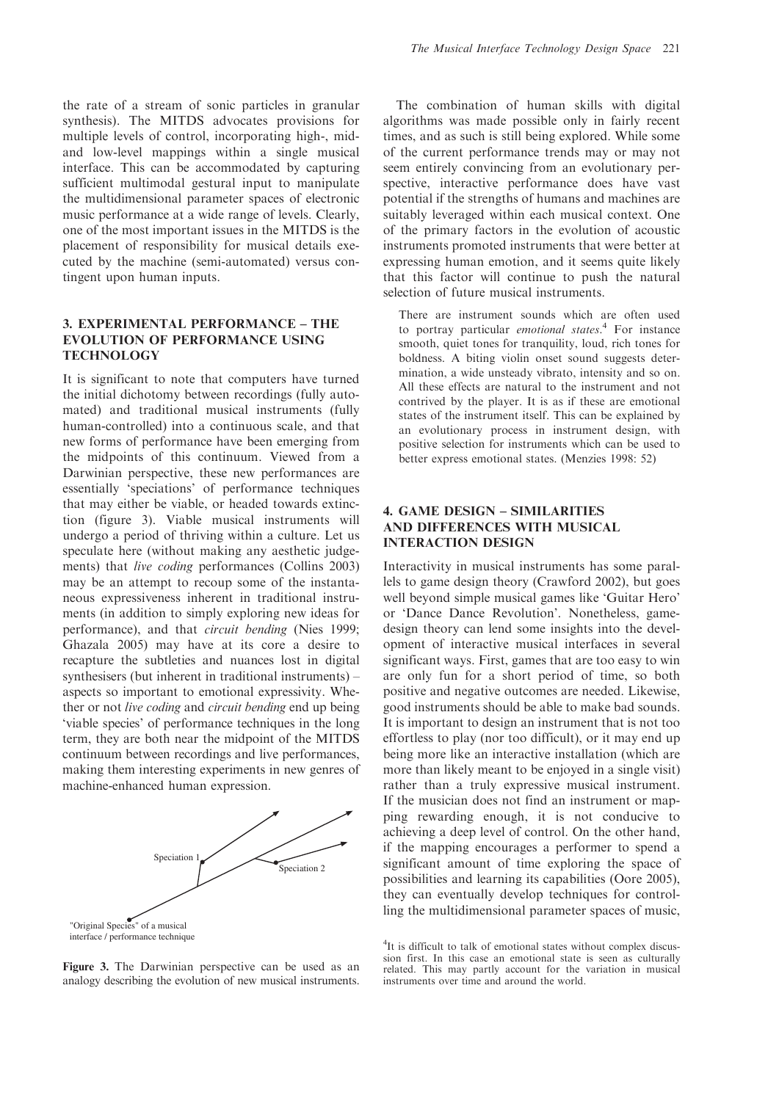the rate of a stream of sonic particles in granular synthesis). The MITDS advocates provisions for multiple levels of control, incorporating high-, midand low-level mappings within a single musical interface. This can be accommodated by capturing sufficient multimodal gestural input to manipulate the multidimensional parameter spaces of electronic music performance at a wide range of levels. Clearly, one of the most important issues in the MITDS is the placement of responsibility for musical details executed by the machine (semi-automated) versus contingent upon human inputs.

## 3. EXPERIMENTAL PERFORMANCE – THE EVOLUTION OF PERFORMANCE USING **TECHNOLOGY**

It is significant to note that computers have turned the initial dichotomy between recordings (fully automated) and traditional musical instruments (fully human-controlled) into a continuous scale, and that new forms of performance have been emerging from the midpoints of this continuum. Viewed from a Darwinian perspective, these new performances are essentially 'speciations' of performance techniques that may either be viable, or headed towards extinction (figure 3). Viable musical instruments will undergo a period of thriving within a culture. Let us speculate here (without making any aesthetic judgements) that live coding performances (Collins 2003) may be an attempt to recoup some of the instantaneous expressiveness inherent in traditional instruments (in addition to simply exploring new ideas for performance), and that circuit bending (Nies 1999; Ghazala 2005) may have at its core a desire to recapture the subtleties and nuances lost in digital synthesisers (but inherent in traditional instruments) – aspects so important to emotional expressivity. Whether or not live coding and circuit bending end up being 'viable species' of performance techniques in the long term, they are both near the midpoint of the MITDS continuum between recordings and live performances, making them interesting experiments in new genres of machine-enhanced human expression.



The combination of human skills with digital algorithms was made possible only in fairly recent times, and as such is still being explored. While some of the current performance trends may or may not seem entirely convincing from an evolutionary perspective, interactive performance does have vast potential if the strengths of humans and machines are suitably leveraged within each musical context. One of the primary factors in the evolution of acoustic instruments promoted instruments that were better at expressing human emotion, and it seems quite likely that this factor will continue to push the natural selection of future musical instruments.

There are instrument sounds which are often used to portray particular emotional states.<sup>4</sup> For instance smooth, quiet tones for tranquility, loud, rich tones for boldness. A biting violin onset sound suggests determination, a wide unsteady vibrato, intensity and so on. All these effects are natural to the instrument and not contrived by the player. It is as if these are emotional states of the instrument itself. This can be explained by an evolutionary process in instrument design, with positive selection for instruments which can be used to better express emotional states. (Menzies 1998: 52)

# 4. GAME DESIGN – SIMILARITIES AND DIFFERENCES WITH MUSICAL INTERACTION DESIGN

Interactivity in musical instruments has some parallels to game design theory (Crawford 2002), but goes well beyond simple musical games like 'Guitar Hero' or 'Dance Dance Revolution'. Nonetheless, gamedesign theory can lend some insights into the development of interactive musical interfaces in several significant ways. First, games that are too easy to win are only fun for a short period of time, so both positive and negative outcomes are needed. Likewise, good instruments should be able to make bad sounds. It is important to design an instrument that is not too effortless to play (nor too difficult), or it may end up being more like an interactive installation (which are more than likely meant to be enjoyed in a single visit) rather than a truly expressive musical instrument. If the musician does not find an instrument or mapping rewarding enough, it is not conducive to achieving a deep level of control. On the other hand, if the mapping encourages a performer to spend a significant amount of time exploring the space of possibilities and learning its capabilities (Oore 2005), they can eventually develop techniques for controlling the multidimensional parameter spaces of music,

<sup>4</sup>It is difficult to talk of emotional states without complex discussion first. In this case an emotional state is seen as culturally related. This may partly account for the variation in musical instruments over time and around the world.

Figure 3. The Darwinian perspective can be used as an analogy describing the evolution of new musical instruments.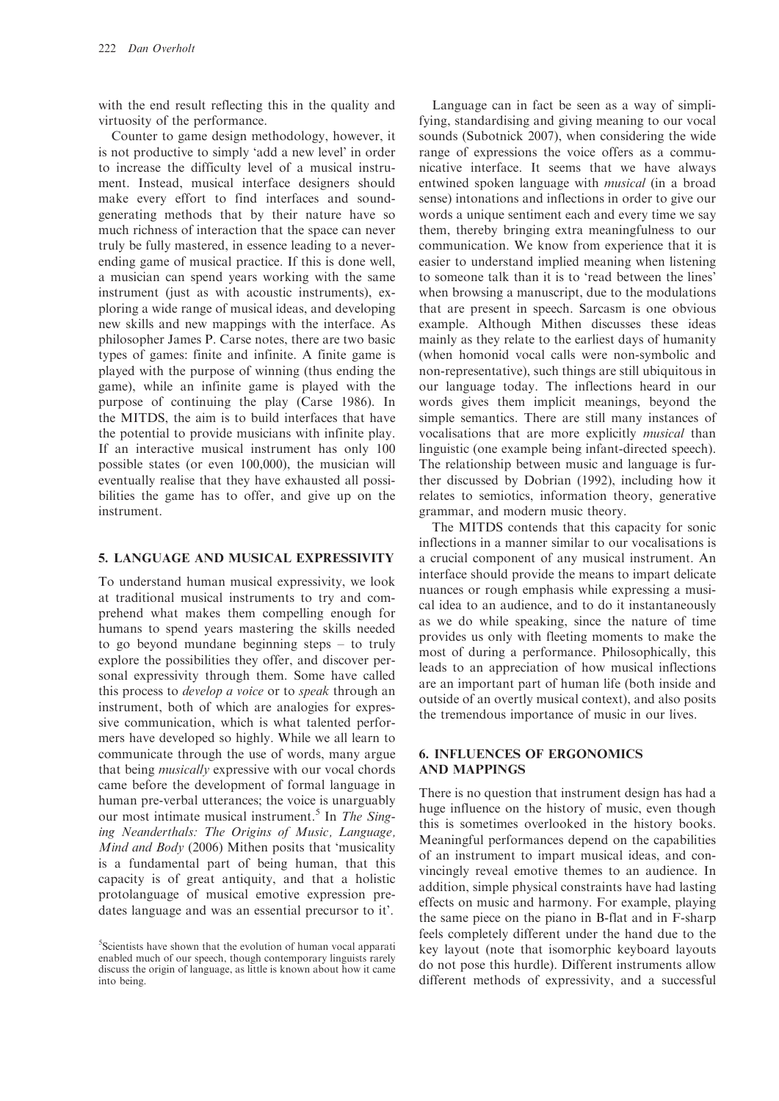with the end result reflecting this in the quality and virtuosity of the performance.

Counter to game design methodology, however, it is not productive to simply 'add a new level' in order to increase the difficulty level of a musical instrument. Instead, musical interface designers should make every effort to find interfaces and soundgenerating methods that by their nature have so much richness of interaction that the space can never truly be fully mastered, in essence leading to a neverending game of musical practice. If this is done well, a musician can spend years working with the same instrument (just as with acoustic instruments), exploring a wide range of musical ideas, and developing new skills and new mappings with the interface. As philosopher James P. Carse notes, there are two basic types of games: finite and infinite. A finite game is played with the purpose of winning (thus ending the game), while an infinite game is played with the purpose of continuing the play (Carse 1986). In the MITDS, the aim is to build interfaces that have the potential to provide musicians with infinite play. If an interactive musical instrument has only 100 possible states (or even 100,000), the musician will eventually realise that they have exhausted all possibilities the game has to offer, and give up on the instrument.

### 5. LANGUAGE AND MUSICAL EXPRESSIVITY

To understand human musical expressivity, we look at traditional musical instruments to try and comprehend what makes them compelling enough for humans to spend years mastering the skills needed to go beyond mundane beginning steps – to truly explore the possibilities they offer, and discover personal expressivity through them. Some have called this process to develop a voice or to speak through an instrument, both of which are analogies for expressive communication, which is what talented performers have developed so highly. While we all learn to communicate through the use of words, many argue that being musically expressive with our vocal chords came before the development of formal language in human pre-verbal utterances; the voice is unarguably our most intimate musical instrument.<sup>5</sup> In The Singing Neanderthals: The Origins of Music, Language, Mind and Body (2006) Mithen posits that 'musicality is a fundamental part of being human, that this capacity is of great antiquity, and that a holistic protolanguage of musical emotive expression predates language and was an essential precursor to it'.

Language can in fact be seen as a way of simplifying, standardising and giving meaning to our vocal sounds (Subotnick 2007), when considering the wide range of expressions the voice offers as a communicative interface. It seems that we have always entwined spoken language with musical (in a broad sense) intonations and inflections in order to give our words a unique sentiment each and every time we say them, thereby bringing extra meaningfulness to our communication. We know from experience that it is easier to understand implied meaning when listening to someone talk than it is to 'read between the lines' when browsing a manuscript, due to the modulations that are present in speech. Sarcasm is one obvious example. Although Mithen discusses these ideas mainly as they relate to the earliest days of humanity (when homonid vocal calls were non-symbolic and non-representative), such things are still ubiquitous in our language today. The inflections heard in our words gives them implicit meanings, beyond the simple semantics. There are still many instances of vocalisations that are more explicitly musical than linguistic (one example being infant-directed speech). The relationship between music and language is further discussed by Dobrian (1992), including how it relates to semiotics, information theory, generative grammar, and modern music theory.

The MITDS contends that this capacity for sonic inflections in a manner similar to our vocalisations is a crucial component of any musical instrument. An interface should provide the means to impart delicate nuances or rough emphasis while expressing a musical idea to an audience, and to do it instantaneously as we do while speaking, since the nature of time provides us only with fleeting moments to make the most of during a performance. Philosophically, this leads to an appreciation of how musical inflections are an important part of human life (both inside and outside of an overtly musical context), and also posits the tremendous importance of music in our lives.

## 6. INFLUENCES OF ERGONOMICS AND MAPPINGS

There is no question that instrument design has had a huge influence on the history of music, even though this is sometimes overlooked in the history books. Meaningful performances depend on the capabilities of an instrument to impart musical ideas, and convincingly reveal emotive themes to an audience. In addition, simple physical constraints have had lasting effects on music and harmony. For example, playing the same piece on the piano in B-flat and in F-sharp feels completely different under the hand due to the key layout (note that isomorphic keyboard layouts do not pose this hurdle). Different instruments allow different methods of expressivity, and a successful

<sup>5</sup> Scientists have shown that the evolution of human vocal apparati enabled much of our speech, though contemporary linguists rarely discuss the origin of language, as little is known about how it came into being.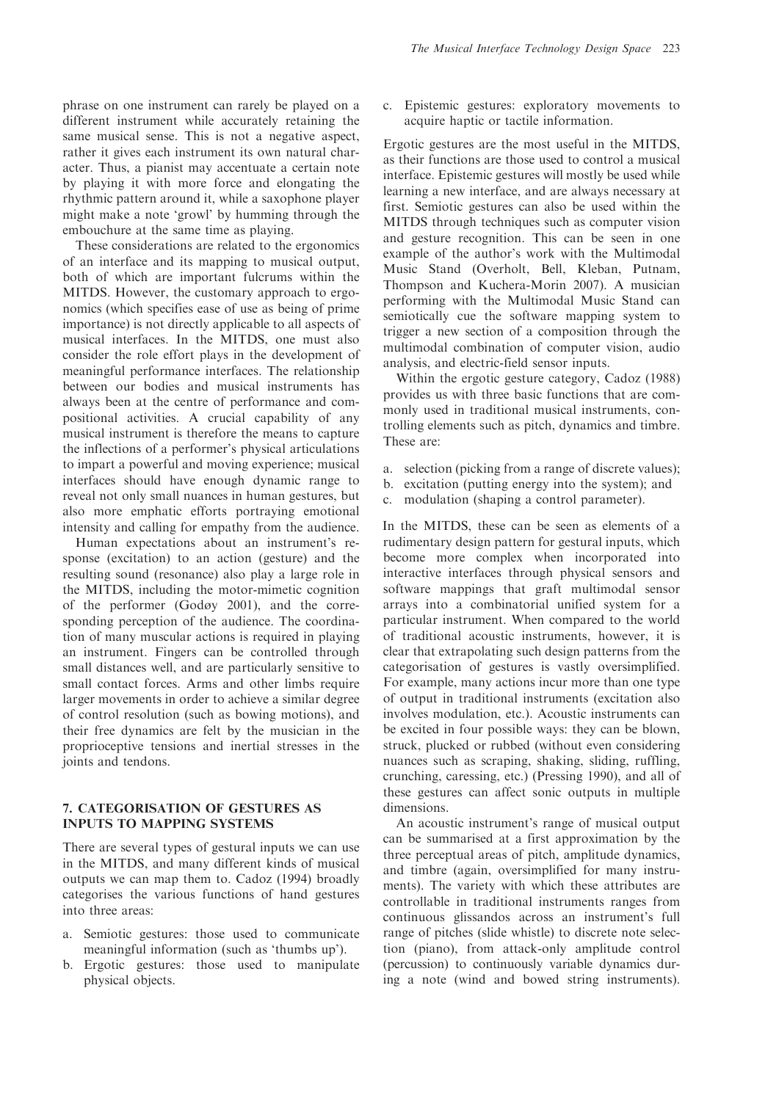phrase on one instrument can rarely be played on a different instrument while accurately retaining the same musical sense. This is not a negative aspect, rather it gives each instrument its own natural character. Thus, a pianist may accentuate a certain note by playing it with more force and elongating the rhythmic pattern around it, while a saxophone player might make a note 'growl' by humming through the embouchure at the same time as playing.

These considerations are related to the ergonomics of an interface and its mapping to musical output, both of which are important fulcrums within the MITDS. However, the customary approach to ergonomics (which specifies ease of use as being of prime importance) is not directly applicable to all aspects of musical interfaces. In the MITDS, one must also consider the role effort plays in the development of meaningful performance interfaces. The relationship between our bodies and musical instruments has always been at the centre of performance and compositional activities. A crucial capability of any musical instrument is therefore the means to capture the inflections of a performer's physical articulations to impart a powerful and moving experience; musical interfaces should have enough dynamic range to reveal not only small nuances in human gestures, but also more emphatic efforts portraying emotional intensity and calling for empathy from the audience.

Human expectations about an instrument's response (excitation) to an action (gesture) and the resulting sound (resonance) also play a large role in the MITDS, including the motor-mimetic cognition of the performer (Godøy 2001), and the corresponding perception of the audience. The coordination of many muscular actions is required in playing an instrument. Fingers can be controlled through small distances well, and are particularly sensitive to small contact forces. Arms and other limbs require larger movements in order to achieve a similar degree of control resolution (such as bowing motions), and their free dynamics are felt by the musician in the proprioceptive tensions and inertial stresses in the joints and tendons.

### 7. CATEGORISATION OF GESTURES AS INPUTS TO MAPPING SYSTEMS

There are several types of gestural inputs we can use in the MITDS, and many different kinds of musical outputs we can map them to. Cadoz (1994) broadly categorises the various functions of hand gestures into three areas:

- a. Semiotic gestures: those used to communicate meaningful information (such as 'thumbs up').
- b. Ergotic gestures: those used to manipulate physical objects.

c. Epistemic gestures: exploratory movements to acquire haptic or tactile information.

Ergotic gestures are the most useful in the MITDS, as their functions are those used to control a musical interface. Epistemic gestures will mostly be used while learning a new interface, and are always necessary at first. Semiotic gestures can also be used within the MITDS through techniques such as computer vision and gesture recognition. This can be seen in one example of the author's work with the Multimodal Music Stand (Overholt, Bell, Kleban, Putnam, Thompson and Kuchera-Morin 2007). A musician performing with the Multimodal Music Stand can semiotically cue the software mapping system to trigger a new section of a composition through the multimodal combination of computer vision, audio analysis, and electric-field sensor inputs.

Within the ergotic gesture category, Cadoz (1988) provides us with three basic functions that are commonly used in traditional musical instruments, controlling elements such as pitch, dynamics and timbre. These are:

- a. selection (picking from a range of discrete values);
- b. excitation (putting energy into the system); and
- c. modulation (shaping a control parameter).

In the MITDS, these can be seen as elements of a rudimentary design pattern for gestural inputs, which become more complex when incorporated into interactive interfaces through physical sensors and software mappings that graft multimodal sensor arrays into a combinatorial unified system for a particular instrument. When compared to the world of traditional acoustic instruments, however, it is clear that extrapolating such design patterns from the categorisation of gestures is vastly oversimplified. For example, many actions incur more than one type of output in traditional instruments (excitation also involves modulation, etc.). Acoustic instruments can be excited in four possible ways: they can be blown, struck, plucked or rubbed (without even considering nuances such as scraping, shaking, sliding, ruffling, crunching, caressing, etc.) (Pressing 1990), and all of these gestures can affect sonic outputs in multiple dimensions.

An acoustic instrument's range of musical output can be summarised at a first approximation by the three perceptual areas of pitch, amplitude dynamics, and timbre (again, oversimplified for many instruments). The variety with which these attributes are controllable in traditional instruments ranges from continuous glissandos across an instrument's full range of pitches (slide whistle) to discrete note selection (piano), from attack-only amplitude control (percussion) to continuously variable dynamics during a note (wind and bowed string instruments).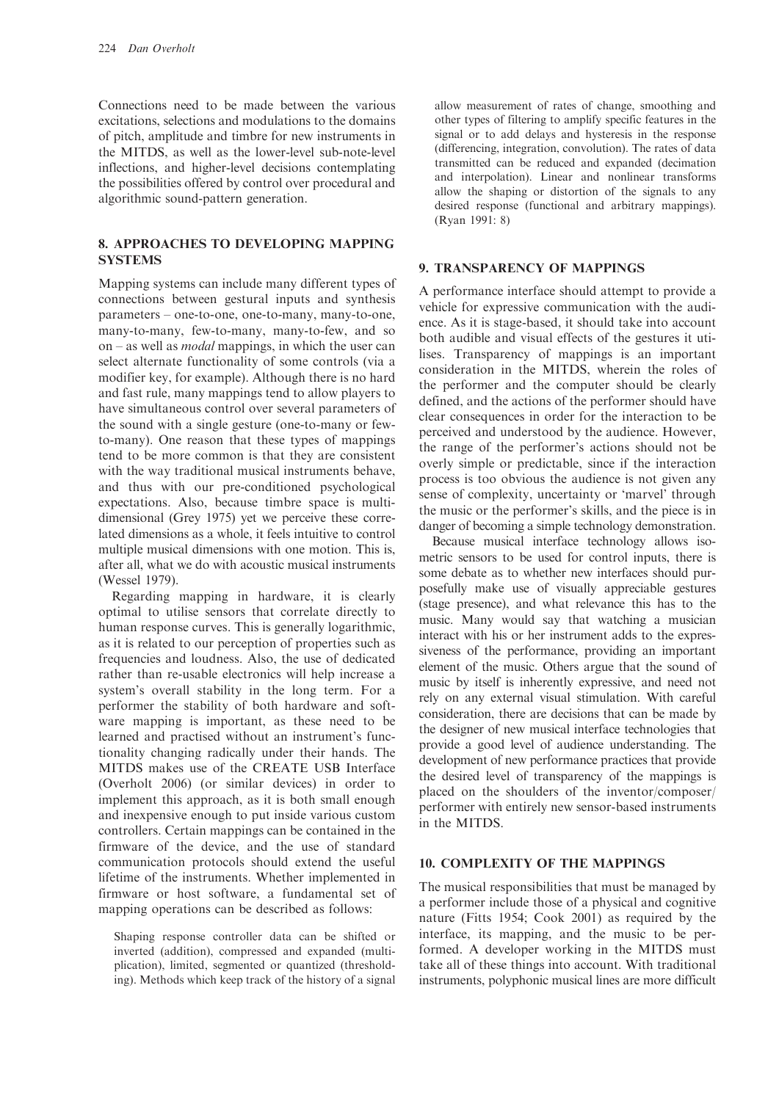Connections need to be made between the various excitations, selections and modulations to the domains of pitch, amplitude and timbre for new instruments in the MITDS, as well as the lower-level sub-note-level inflections, and higher-level decisions contemplating the possibilities offered by control over procedural and algorithmic sound-pattern generation.

# 8. APPROACHES TO DEVELOPING MAPPING SYSTEMS

Mapping systems can include many different types of connections between gestural inputs and synthesis parameters – one-to-one, one-to-many, many-to-one, many-to-many, few-to-many, many-to-few, and so on – as well as modal mappings, in which the user can select alternate functionality of some controls (via a modifier key, for example). Although there is no hard and fast rule, many mappings tend to allow players to have simultaneous control over several parameters of the sound with a single gesture (one-to-many or fewto-many). One reason that these types of mappings tend to be more common is that they are consistent with the way traditional musical instruments behave, and thus with our pre-conditioned psychological expectations. Also, because timbre space is multidimensional (Grey 1975) yet we perceive these correlated dimensions as a whole, it feels intuitive to control multiple musical dimensions with one motion. This is, after all, what we do with acoustic musical instruments (Wessel 1979).

Regarding mapping in hardware, it is clearly optimal to utilise sensors that correlate directly to human response curves. This is generally logarithmic, as it is related to our perception of properties such as frequencies and loudness. Also, the use of dedicated rather than re-usable electronics will help increase a system's overall stability in the long term. For a performer the stability of both hardware and software mapping is important, as these need to be learned and practised without an instrument's functionality changing radically under their hands. The MITDS makes use of the CREATE USB Interface (Overholt 2006) (or similar devices) in order to implement this approach, as it is both small enough and inexpensive enough to put inside various custom controllers. Certain mappings can be contained in the firmware of the device, and the use of standard communication protocols should extend the useful lifetime of the instruments. Whether implemented in firmware or host software, a fundamental set of mapping operations can be described as follows:

Shaping response controller data can be shifted or inverted (addition), compressed and expanded (multiplication), limited, segmented or quantized (thresholding). Methods which keep track of the history of a signal allow measurement of rates of change, smoothing and other types of filtering to amplify specific features in the signal or to add delays and hysteresis in the response (differencing, integration, convolution). The rates of data transmitted can be reduced and expanded (decimation and interpolation). Linear and nonlinear transforms allow the shaping or distortion of the signals to any desired response (functional and arbitrary mappings). (Ryan 1991: 8)

# 9. TRANSPARENCY OF MAPPINGS

A performance interface should attempt to provide a vehicle for expressive communication with the audience. As it is stage-based, it should take into account both audible and visual effects of the gestures it utilises. Transparency of mappings is an important consideration in the MITDS, wherein the roles of the performer and the computer should be clearly defined, and the actions of the performer should have clear consequences in order for the interaction to be perceived and understood by the audience. However, the range of the performer's actions should not be overly simple or predictable, since if the interaction process is too obvious the audience is not given any sense of complexity, uncertainty or 'marvel' through the music or the performer's skills, and the piece is in danger of becoming a simple technology demonstration.

Because musical interface technology allows isometric sensors to be used for control inputs, there is some debate as to whether new interfaces should purposefully make use of visually appreciable gestures (stage presence), and what relevance this has to the music. Many would say that watching a musician interact with his or her instrument adds to the expressiveness of the performance, providing an important element of the music. Others argue that the sound of music by itself is inherently expressive, and need not rely on any external visual stimulation. With careful consideration, there are decisions that can be made by the designer of new musical interface technologies that provide a good level of audience understanding. The development of new performance practices that provide the desired level of transparency of the mappings is placed on the shoulders of the inventor/composer/ performer with entirely new sensor-based instruments in the MITDS.

# 10. COMPLEXITY OF THE MAPPINGS

The musical responsibilities that must be managed by a performer include those of a physical and cognitive nature (Fitts 1954; Cook 2001) as required by the interface, its mapping, and the music to be performed. A developer working in the MITDS must take all of these things into account. With traditional instruments, polyphonic musical lines are more difficult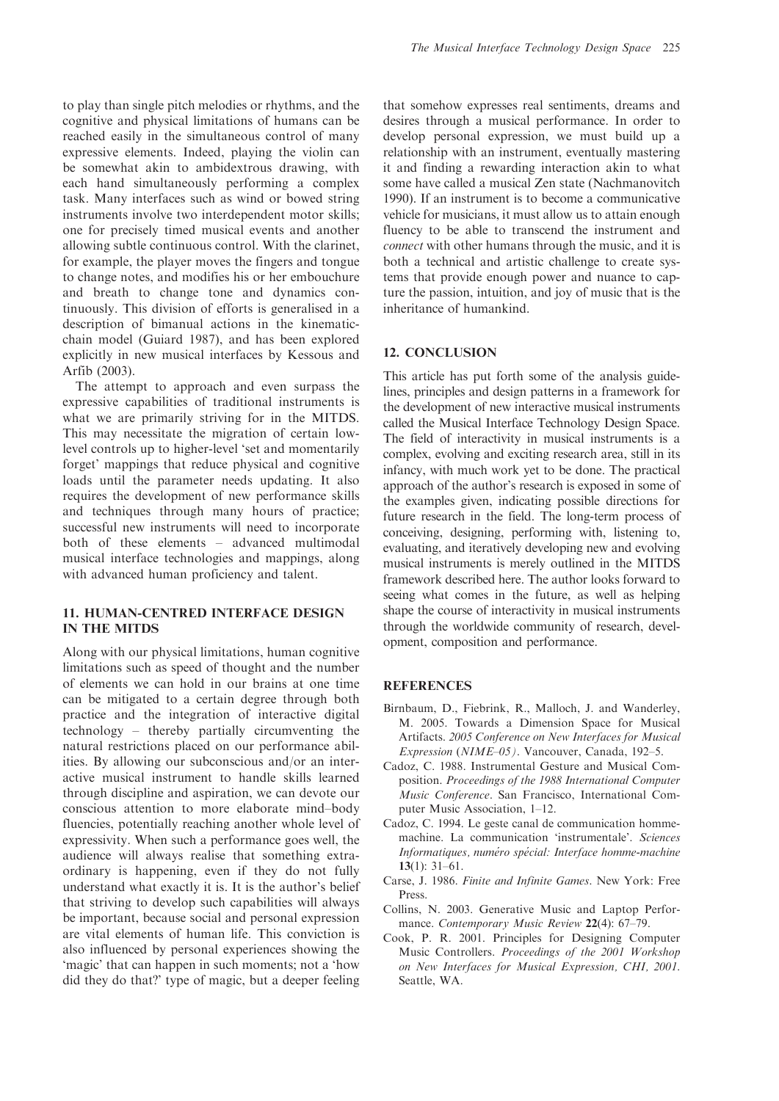to play than single pitch melodies or rhythms, and the cognitive and physical limitations of humans can be reached easily in the simultaneous control of many expressive elements. Indeed, playing the violin can be somewhat akin to ambidextrous drawing, with each hand simultaneously performing a complex task. Many interfaces such as wind or bowed string instruments involve two interdependent motor skills; one for precisely timed musical events and another allowing subtle continuous control. With the clarinet, for example, the player moves the fingers and tongue to change notes, and modifies his or her embouchure and breath to change tone and dynamics continuously. This division of efforts is generalised in a description of bimanual actions in the kinematicchain model (Guiard 1987), and has been explored explicitly in new musical interfaces by Kessous and Arfib (2003).

The attempt to approach and even surpass the expressive capabilities of traditional instruments is what we are primarily striving for in the MITDS. This may necessitate the migration of certain lowlevel controls up to higher-level 'set and momentarily forget' mappings that reduce physical and cognitive loads until the parameter needs updating. It also requires the development of new performance skills and techniques through many hours of practice; successful new instruments will need to incorporate both of these elements – advanced multimodal musical interface technologies and mappings, along with advanced human proficiency and talent.

## 11. HUMAN-CENTRED INTERFACE DESIGN IN THE MITDS

Along with our physical limitations, human cognitive limitations such as speed of thought and the number of elements we can hold in our brains at one time can be mitigated to a certain degree through both practice and the integration of interactive digital technology – thereby partially circumventing the natural restrictions placed on our performance abilities. By allowing our subconscious and/or an interactive musical instrument to handle skills learned through discipline and aspiration, we can devote our conscious attention to more elaborate mind–body fluencies, potentially reaching another whole level of expressivity. When such a performance goes well, the audience will always realise that something extraordinary is happening, even if they do not fully understand what exactly it is. It is the author's belief that striving to develop such capabilities will always be important, because social and personal expression are vital elements of human life. This conviction is also influenced by personal experiences showing the 'magic' that can happen in such moments; not a 'how did they do that?' type of magic, but a deeper feeling that somehow expresses real sentiments, dreams and desires through a musical performance. In order to develop personal expression, we must build up a relationship with an instrument, eventually mastering it and finding a rewarding interaction akin to what some have called a musical Zen state (Nachmanovitch 1990). If an instrument is to become a communicative vehicle for musicians, it must allow us to attain enough fluency to be able to transcend the instrument and connect with other humans through the music, and it is both a technical and artistic challenge to create systems that provide enough power and nuance to capture the passion, intuition, and joy of music that is the inheritance of humankind.

## 12. CONCLUSION

This article has put forth some of the analysis guidelines, principles and design patterns in a framework for the development of new interactive musical instruments called the Musical Interface Technology Design Space. The field of interactivity in musical instruments is a complex, evolving and exciting research area, still in its infancy, with much work yet to be done. The practical approach of the author's research is exposed in some of the examples given, indicating possible directions for future research in the field. The long-term process of conceiving, designing, performing with, listening to, evaluating, and iteratively developing new and evolving musical instruments is merely outlined in the MITDS framework described here. The author looks forward to seeing what comes in the future, as well as helping shape the course of interactivity in musical instruments through the worldwide community of research, development, composition and performance.

#### **REFERENCES**

- Birnbaum, D., Fiebrink, R., Malloch, J. and Wanderley, M. 2005. Towards a Dimension Space for Musical Artifacts. 2005 Conference on New Interfaces for Musical Expression (NIME–05). Vancouver, Canada, 192–5.
- Cadoz, C. 1988. Instrumental Gesture and Musical Composition. Proceedings of the 1988 International Computer Music Conference. San Francisco, International Computer Music Association, 1–12.
- Cadoz, C. 1994. Le geste canal de communication hommemachine. La communication 'instrumentale'. Sciences Informatiques, numéro spécial: Interface homme-machine 13(1): 31–61.
- Carse, J. 1986. Finite and Infinite Games. New York: Free Press.
- Collins, N. 2003. Generative Music and Laptop Performance. Contemporary Music Review 22(4): 67-79.
- Cook, P. R. 2001. Principles for Designing Computer Music Controllers. Proceedings of the 2001 Workshop on New Interfaces for Musical Expression, CHI, 2001. Seattle, WA.